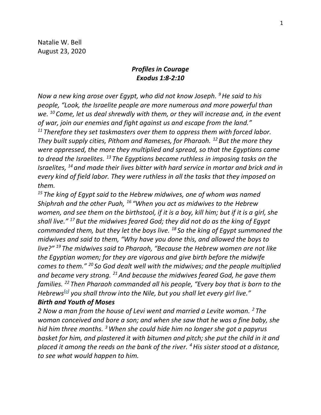Natalie W. Bell August 23, 2020

### *Profiles in Courage Exodus 1:8-2:10*

*Now a new king arose over Egypt, who did not know Joseph. <sup>9</sup>He said to his people, "Look, the Israelite people are more numerous and more powerful than we. <sup>10</sup> Come, let us deal shrewdly with them, or they will increase and, in the event of war, join our enemies and fight against us and escape from the land." <sup>11</sup> Therefore they set taskmasters over them to oppress them with forced labor. They built supply cities, Pithom and Rameses, for Pharaoh. <sup>12</sup> But the more they were oppressed, the more they multiplied and spread, so that the Egyptians came to dread the Israelites. <sup>13</sup> The Egyptians became ruthless in imposing tasks on the Israelites, <sup>14</sup> and made their lives bitter with hard service in mortar and brick and in every kind of field labor. They were ruthless in all the tasks that they imposed on them.*

*<sup>15</sup> The king of Egypt said to the Hebrew midwives, one of whom was named Shiphrah and the other Puah, <sup>16</sup> "When you act as midwives to the Hebrew women, and see them on the birthstool, if it is a boy, kill him; but if it is a girl, she shall live." <sup>17</sup> But the midwives feared God; they did not do as the king of Egypt commanded them, but they let the boys live. <sup>18</sup> So the king of Egypt summoned the midwives and said to them, "Why have you done this, and allowed the boys to live?" <sup>19</sup> The midwives said to Pharaoh, "Because the Hebrew women are not like the Egyptian women; for they are vigorous and give birth before the midwife comes to them." <sup>20</sup> So God dealt well with the midwives; and the people multiplied and became very strong. <sup>21</sup>And because the midwives feared God, he gave them families. <sup>22</sup> Then Pharaoh commanded all his people, "Every boy that is born to the Hebrews[\[a\]](https://www.biblegateway.com/passage/?search=Exodus+1-2&version=NRSV#fen-NRSV-1555a) you shall throw into the Nile, but you shall let every girl live."*

#### *Birth and Youth of Moses*

*2 Now a man from the house of Levi went and married a Levite woman. <sup>2</sup> The woman conceived and bore a son; and when she saw that he was a fine baby, she hid him three months. <sup>3</sup>When she could hide him no longer she got a papyrus basket for him, and plastered it with bitumen and pitch; she put the child in it and placed it among the reeds on the bank of the river. <sup>4</sup>His sister stood at a distance, to see what would happen to him.*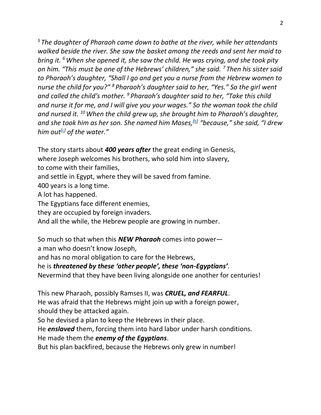*<sup>5</sup> The daughter of Pharaoh came down to bathe at the river, while her attendants walked beside the river. She saw the basket among the reeds and sent her maid to bring it. <sup>6</sup>When she opened it, she saw the child. He was crying, and she took pity on him. "This must be one of the Hebrews' children," she said. <sup>7</sup> Then his sister said to Pharaoh's daughter, "Shall I go and get you a nurse from the Hebrew women to nurse the child for you?" <sup>8</sup> Pharaoh's daughter said to her, "Yes." So the girl went and called the child's mother. <sup>9</sup> Pharaoh's daughter said to her, "Take this child and nurse it for me, and I will give you your wages." So the woman took the child and nursed it. <sup>10</sup>When the child grew up, she brought him to Pharaoh's daughter, and she took him as her son. She named him Moses,[\[b\]](https://www.biblegateway.com/passage/?search=Exodus+1-2&version=NRSV#fen-NRSV-1565b) "because," she said, "I drew him out[\[c\]](https://www.biblegateway.com/passage/?search=Exodus+1-2&version=NRSV#fen-NRSV-1565c) of the water."*

The story starts about *400 years after* the great ending in Genesis,

where Joseph welcomes his brothers, who sold him into slavery,

to come with their families,

and settle in Egypt, where they will be saved from famine.

400 years is a long time.

A lot has happened.

The Egyptians face different enemies,

they are occupied by foreign invaders.

And all the while, the Hebrew people are growing in number.

So much so that when this *NEW Pharaoh* comes into power a man who doesn't know Joseph,

and has no moral obligation to care for the Hebrews,

he is *threatened by these 'other people', these 'non-Egyptians'*.

Nevermind that they have been living alongside one another for centuries!

This new Pharaoh, possibly Ramses II, was *CRUEL, and FEARFUL*.

He was afraid that the Hebrews might join up with a foreign power, should they be attacked again.

So he devised a plan to keep the Hebrews in their place.

He *enslaved* them, forcing them into hard labor under harsh conditions.

He made them the *enemy of the Egyptians*.

But his plan backfired, because the Hebrews only grew in number!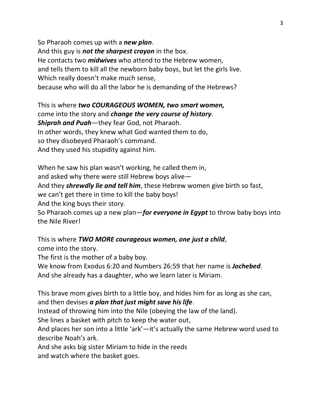So Pharaoh comes up with a *new plan*. And this guy is *not the sharpest crayon* in the box. He contacts two *midwives* who attend to the Hebrew women, and tells them to kill all the newborn baby boys, but let the girls live. Which really doesn't make much sense, because who will do all the labor he is demanding of the Hebrews?

This is where *two COURAGEOUS WOMEN, two smart women,* come into the story and *change the very course of history*. *Shiprah and Puah*—they fear God, not Pharaoh. In other words, they knew what God wanted them to do, so they disobeyed Pharaoh's command. And they used his stupidity against him.

When he saw his plan wasn't working, he called them in, and asked why there were still Hebrew boys alive— And they *shrewdly lie and tell him*, these Hebrew women give birth so fast, we can't get there in time to kill the baby boys! And the king buys their story. So Pharaoh comes up a new plan—*for everyone in Egypt* to throw baby boys into the Nile River!

This is where *TWO MORE courageous women, one just a child*, come into the story.

The first is the mother of a baby boy.

We know from Exodus 6:20 and Numbers 26:59 that her name is *Jochebed*.

And she already has a daughter, who we learn later is Miriam.

This brave mom gives birth to a little boy, and hides him for as long as she can, and then devises *a plan that just might save his life*.

Instead of throwing him into the Nile (obeying the law of the land).

She lines a basket with pitch to keep the water out,

And places her son into a little 'ark'—it's actually the same Hebrew word used to describe Noah's ark.

And she asks big sister Miriam to hide in the reeds

and watch where the basket goes.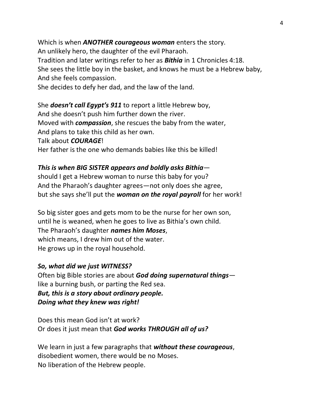Which is when *ANOTHER courageous woman* enters the story. An unlikely hero, the daughter of the evil Pharaoh. Tradition and later writings refer to her as *Bithia* in 1 Chronicles 4:18. She sees the little boy in the basket, and knows he must be a Hebrew baby, And she feels compassion.

She decides to defy her dad, and the law of the land.

She *doesn't call Egypt's 911* to report a little Hebrew boy, And she doesn't push him further down the river. Moved with *compassion*, she rescues the baby from the water, And plans to take this child as her own. Talk about *COURAGE*! Her father is the one who demands babies like this be killed!

# *This is when BIG SISTER appears and boldly asks Bithia*—

should I get a Hebrew woman to nurse this baby for you? And the Pharaoh's daughter agrees—not only does she agree, but she says she'll put the *woman on the royal payroll* for her work!

So big sister goes and gets mom to be the nurse for her own son, until he is weaned, when he goes to live as Bithia's own child. The Pharaoh's daughter *names him Moses*, which means, I drew him out of the water. He grows up in the royal household.

### *So, what did we just WITNESS?*

Often big Bible stories are about *God doing supernatural things* like a burning bush, or parting the Red sea. *But, this is a story about ordinary people. Doing what they knew was right!*

Does this mean God isn't at work? Or does it just mean that *God works THROUGH all of us?* 

We learn in just a few paragraphs that *without these courageous*, disobedient women, there would be no Moses. No liberation of the Hebrew people.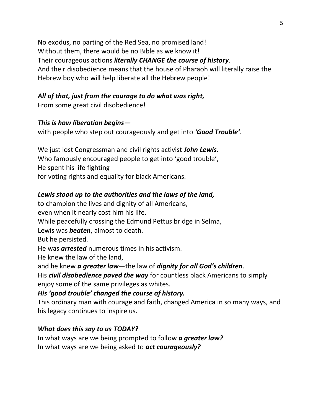No exodus, no parting of the Red Sea, no promised land! Without them, there would be no Bible as we know it! Their courageous actions *literally CHANGE the course of history*. And their disobedience means that the house of Pharaoh will literally raise the Hebrew boy who will help liberate all the Hebrew people!

# *All of that, just from the courage to do what was right,*

From some great civil disobedience!

#### *This is how liberation begins—*

with people who step out courageously and get into *'Good Trouble'*.

We just lost Congressman and civil rights activist *John Lewis.* Who famously encouraged people to get into 'good trouble', He spent his life fighting for voting rights and equality for black Americans.

# *Lewis stood up to the authorities and the laws of the land,*

to champion the lives and dignity of all Americans, even when it nearly cost him his life. While peacefully crossing the Edmund Pettus bridge in Selma, Lewis was *beaten*, almost to death. But he persisted. He was *arrested* numerous times in his activism. He knew the law of the land, and he knew *a greater law*—the law of *dignity for all God's children*. His *civil disobedience paved the way* for countless black Americans to simply

enjoy some of the same privileges as whites.

### *His 'good trouble' changed the course of history.*

This ordinary man with courage and faith, changed America in so many ways, and his legacy continues to inspire us.

#### *What does this say to us TODAY?*

In what ways are we being prompted to follow *a greater law?* In what ways are we being asked to *act courageously?*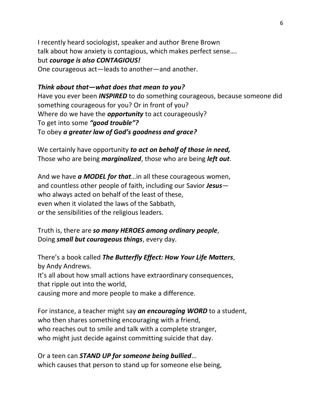I recently heard sociologist, speaker and author Brene Brown talk about how anxiety is contagious, which makes perfect sense…. but *courage is also CONTAGIOUS!* One courageous act—leads to another—and another.

#### *Think about that—what does that mean to you?*

Have you ever been *INSPIRED* to do something courageous, because someone did something courageous for you? Or in front of you? Where do we have the *opportunity* to act courageously? To get into some *"good trouble"?*  To obey *a greater law of God's goodness and grace?*

We certainly have opportunity *to act on behalf of those in need,*  Those who are being *marginalized*, those who are being *left out*.

And we have *a MODEL for that*…in all these courageous women, and countless other people of faith, including our Savior *Jesus* who always acted on behalf of the least of these, even when it violated the laws of the Sabbath, or the sensibilities of the religious leaders.

Truth is, there are *so many HEROES among ordinary people*, Doing *small but courageous things*, every day.

There's a book called *The Butterfly Effect: How Your Life Matters*, by Andy Andrews. It's all about how small actions have extraordinary consequences, that ripple out into the world, causing more and more people to make a difference.

For instance, a teacher might say *an encouraging WORD* to a student, who then shares something encouraging with a friend, who reaches out to smile and talk with a complete stranger, who might just decide against committing suicide that day.

Or a teen can *STAND UP for someone being bullied*… which causes that person to stand up for someone else being,